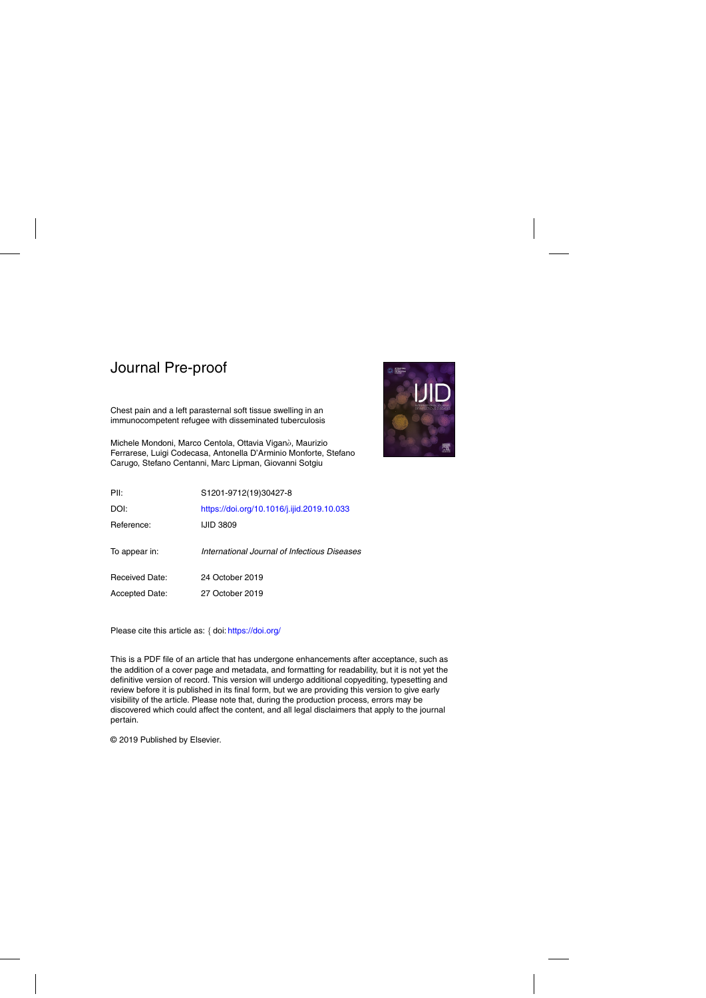Chest pain and a left parasternal soft tissue swelling in an immunocompetent refugee with disseminated tuberculosis

Michele Mondoni, Marco Centola, Ottavia Viganò, Maurizio Ferrarese, Luigi Codecasa, Antonella D'Arminio Monforte, Stefano Carugo, Stefano Centanni, Marc Lipman, Giovanni Sotgiu



| PII:                  | S1201-9712(19)30427-8                        |
|-----------------------|----------------------------------------------|
| DOI:                  | https://doi.org/10.1016/j.ijid.2019.10.033   |
| Reference:            | <b>IJID 3809</b>                             |
| To appear in:         | International Journal of Infectious Diseases |
| Received Date:        | 24 October 2019                              |
| <b>Accepted Date:</b> | 27 October 2019                              |
|                       |                                              |

Please cite this article as: { doi: <https://doi.org/>

This is a PDF file of an article that has undergone enhancements after acceptance, such as the addition of a cover page and metadata, and formatting for readability, but it is not yet the definitive version of record. This version will undergo additional copyediting, typesetting and review before it is published in its final form, but we are providing this version to give early visibility of the article. Please note that, during the production process, errors may be discovered which could affect the content, and all legal disclaimers that apply to the journal pertain.

© 2019 Published by Elsevier.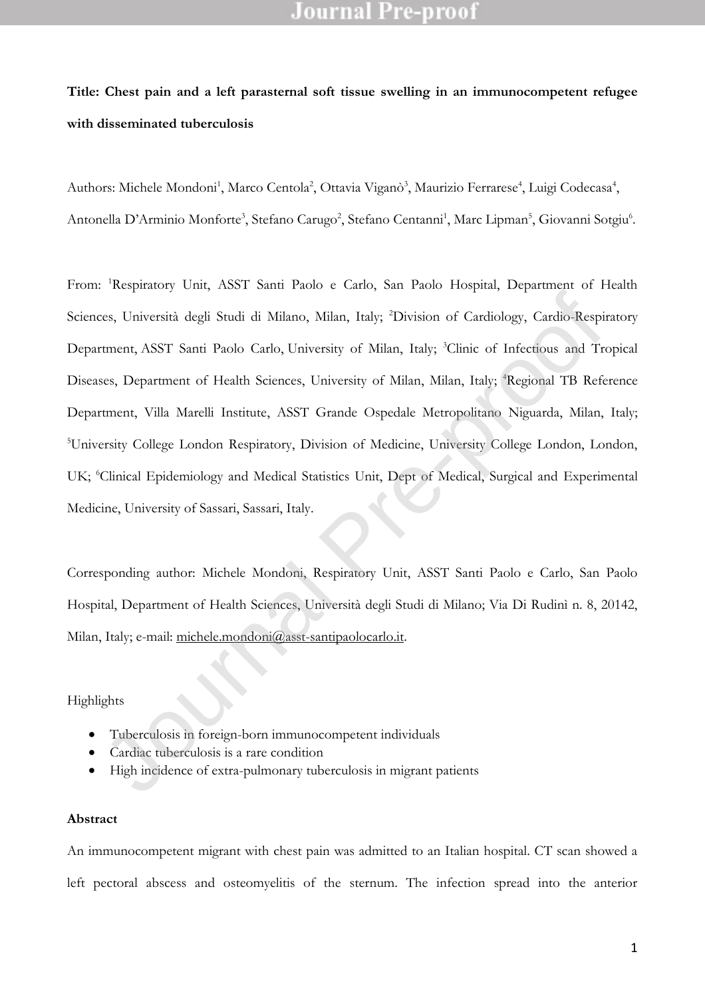# **Title: Chest pain and a left parasternal soft tissue swelling in an immunocompetent refugee with disseminated tuberculosis**

Authors: Michele Mondoni<sup>1</sup>, Marco Centola<sup>2</sup>, Ottavia Viganò<sup>3</sup>, Maurizio Ferrarese<sup>4</sup>, Luigi Codecasa<sup>4</sup>, Antonella D'Arminio Monforte<sup>3</sup>, Stefano Carugo<sup>2</sup>, Stefano Centanni<sup>1</sup>, Marc Lipman<sup>5</sup>, Giovanni Sotgiu<sup>6</sup>.

From: <sup>1</sup>Respiratory Unit, ASST Santi Paolo e Carlo, San Paolo Hospital, Department of Health Sciences, Università degli Studi di Milano, Milan, Italy; <sup>2</sup>Division of Cardiology, Cardio-Respiratory Department, ASST Santi Paolo Carlo, University of Milan, Italy; <sup>3</sup>Clinic of Infectious and Tropical Diseases, Department of Health Sciences, University of Milan, Milan, Italy; <sup>4</sup>Regional TB Reference Department, Villa Marelli Institute, ASST Grande Ospedale Metropolitano Niguarda, Milan, Italy; <sup>5</sup>University College London Respiratory, Division of Medicine, University College London, London, UK; <sup>6</sup>Clinical Epidemiology and Medical Statistics Unit, Dept of Medical, Surgical and Experimental Medicine, University of Sassari, Sassari, Italy. ces, Università degli Studi di Milano, Milan, Italy; <sup>2</sup>Division of Cardiology, Cardio-Respirement, ASST Santi Paolo Carlo, University of Milan, Italy; <sup>2</sup>Clinic of Infectious and Trects.<br>
Secs, Department of Health Scienc

Corresponding author: Michele Mondoni, Respiratory Unit, ASST Santi Paolo e Carlo, San Paolo Hospital, Department of Health Sciences, Università degli Studi di Milano; Via Di Rudinì n. 8, 20142, Milan, Italy; e-mail: michele.mondoni@asst-santipaolocarlo.it.

#### Highlights

- Tuberculosis in foreign-born immunocompetent individuals
- Cardiac tuberculosis is a rare condition
- High incidence of extra-pulmonary tuberculosis in migrant patients

#### **Abstract**

An immunocompetent migrant with chest pain was admitted to an Italian hospital. CT scan showed a left pectoral abscess and osteomyelitis of the sternum. The infection spread into the anterior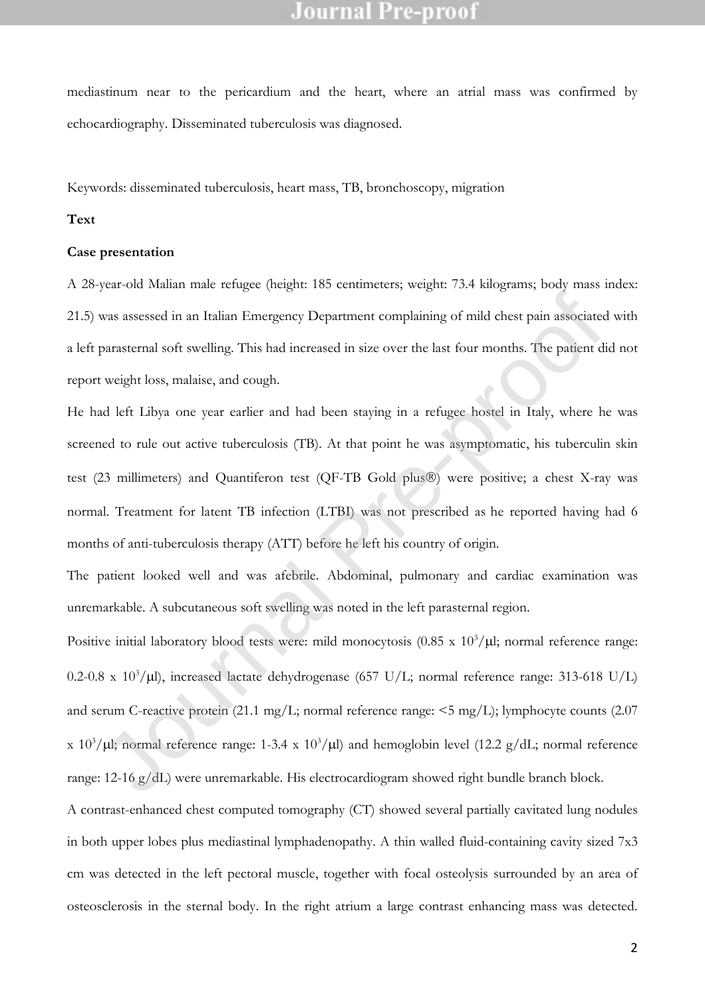mediastinum near to the pericardium and the heart, where an atrial mass was confirmed by echocardiography. Disseminated tuberculosis was diagnosed.

Keywords: disseminated tuberculosis, heart mass, TB, bronchoscopy, migration

#### **Text**

#### **Case presentation**

A 28-year-old Malian male refugee (height: 185 centimeters; weight: 73.4 kilograms; body mass index: 21.5) was assessed in an Italian Emergency Department complaining of mild chest pain associated with a left parasternal soft swelling. This had increased in size over the last four months. The patient did not report weight loss, malaise, and cough.

He had left Libya one year earlier and had been staying in a refugee hostel in Italy, where he was screened to rule out active tuberculosis (TB). At that point he was asymptomatic, his tuberculin skin test (23 millimeters) and Quantiferon test (QF-TB Gold plus®) were positive; a chest X-ray was normal. Treatment for latent TB infection (LTBI) was not prescribed as he reported having had 6 months of anti-tuberculosis therapy (ATT) before he left his country of origin.

The patient looked well and was afebrile. Abdominal, pulmonary and cardiac examination was unremarkable. A subcutaneous soft swelling was noted in the left parasternal region.

Positive initial laboratory blood tests were: mild monocytosis  $(0.85 \times 10^3/\mu l)$ ; normal reference range: 0.2-0.8 x 10<sup>3</sup>/µl), increased lactate dehydrogenase (657 U/L; normal reference range: 313-618 U/L) and serum C-reactive protein (21.1 mg/L; normal reference range: <5 mg/L); lymphocyte counts (2.07 x 10<sup>3</sup>/ $\mu$ l; normal reference range: 1-3.4 x 10<sup>3</sup>/ $\mu$ l) and hemoglobin level (12.2 g/dL; normal reference range: 12-16 g/dL) were unremarkable. His electrocardiogram showed right bundle branch block. vas assessed in an Italian Emergency Department complaining of mild chest pain associated<br>parasternal soft swelling. This had increased in size over the last four months. The patient d<br>weight loss, malaise, and cough.<br>All

A contrast-enhanced chest computed tomography (CT) showed several partially cavitated lung nodules in both upper lobes plus mediastinal lymphadenopathy. A thin walled fluid-containing cavity sized 7x3 cm was detected in the left pectoral muscle, together with focal osteolysis surrounded by an area of osteosclerosis in the sternal body. In the right atrium a large contrast enhancing mass was detected.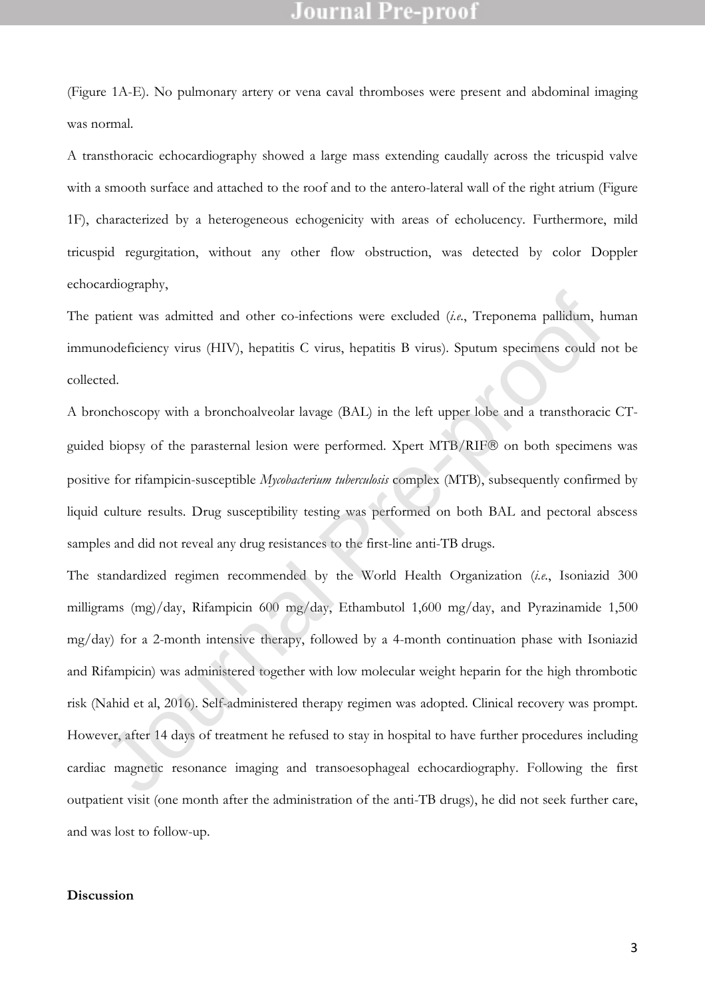(Figure 1A-E). No pulmonary artery or vena caval thromboses were present and abdominal imaging was normal.

A transthoracic echocardiography showed a large mass extending caudally across the tricuspid valve with a smooth surface and attached to the roof and to the antero-lateral wall of the right atrium (Figure 1F), characterized by a heterogeneous echogenicity with areas of echolucency. Furthermore, mild tricuspid regurgitation, without any other flow obstruction, was detected by color Doppler echocardiography,

The patient was admitted and other co-infections were excluded (*i.e.*, Treponema pallidum, human immunodeficiency virus (HIV), hepatitis C virus, hepatitis B virus). Sputum specimens could not be collected.

A bronchoscopy with a bronchoalveolar lavage (BAL) in the left upper lobe and a transthoracic CTguided biopsy of the parasternal lesion were performed. Xpert MTB/RIF® on both specimens was positive for rifampicin-susceptible *Mycobacterium tuberculosis* complex (MTB), subsequently confirmed by liquid culture results. Drug susceptibility testing was performed on both BAL and pectoral abscess samples and did not reveal any drug resistances to the first-line anti-TB drugs.

The standardized regimen recommended by the World Health Organization (*i.e.*, Isoniazid 300 milligrams (mg)/day, Rifampicin 600 mg/day, Ethambutol 1,600 mg/day, and Pyrazinamide 1,500 mg/day) for a 2-month intensive therapy, followed by a 4-month continuation phase with Isoniazid and Rifampicin) was administered together with low molecular weight heparin for the high thrombotic risk (Nahid et al, 2016). Self-administered therapy regimen was adopted. Clinical recovery was prompt. However, after 14 days of treatment he refused to stay in hospital to have further procedures including cardiac magnetic resonance imaging and transoesophageal echocardiography. Following the first outpatient visit (one month after the administration of the anti-TB drugs), he did not seek further care, and was lost to follow-up. antient was admitted and other co-infections were excluded (*i.e.*, Treponema pallidum, hoodeficiency virus (HIV), hepatitis C virus, hepatitis B virus). Sputum specimens could r ted.<br>
Hendebescopy with a bronchoalveolar

#### **Discussion**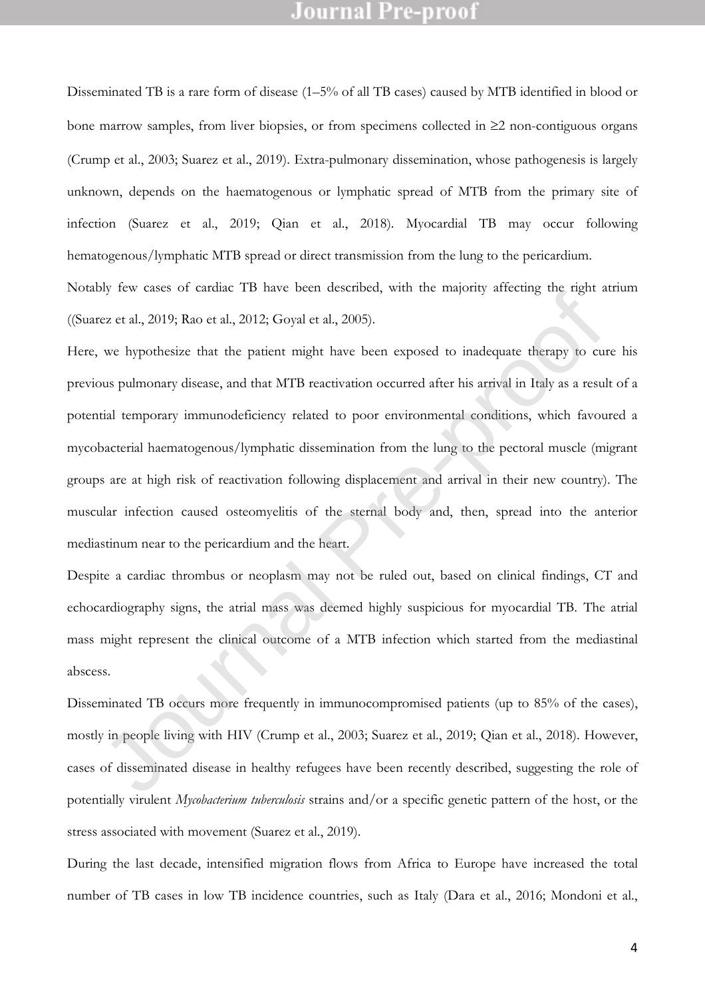Disseminated TB is a rare form of disease (1–5% of all TB cases) caused by MTB identified in blood or bone marrow samples, from liver biopsies, or from specimens collected in  $\geq 2$  non-contiguous organs (Crump et al., 2003; Suarez et al., 2019). Extra-pulmonary dissemination, whose pathogenesis is largely unknown, depends on the haematogenous or lymphatic spread of MTB from the primary site of infection (Suarez et al., 2019; Qian et al., 2018). Myocardial TB may occur following hematogenous/lymphatic MTB spread or direct transmission from the lung to the pericardium.

Notably few cases of cardiac TB have been described, with the majority affecting the right atrium ((Suarez et al., 2019; Rao et al., 2012; Goyal et al., 2005).

Here, we hypothesize that the patient might have been exposed to inadequate therapy to cure his previous pulmonary disease, and that MTB reactivation occurred after his arrival in Italy as a result of a potential temporary immunodeficiency related to poor environmental conditions, which favoured a mycobacterial haematogenous/lymphatic dissemination from the lung to the pectoral muscle (migrant groups are at high risk of reactivation following displacement and arrival in their new country). The muscular infection caused osteomyelitis of the sternal body and, then, spread into the anterior mediastinum near to the pericardium and the heart. by the cases of earticle 1*D* where identicating, who including the right is exert al., 2019; Rao et al., 2012; Goyal et al., 2005).<br>We hypothesize that the patient might have been exposed to inadequate therapy to curs pu

Despite a cardiac thrombus or neoplasm may not be ruled out, based on clinical findings, CT and echocardiography signs, the atrial mass was deemed highly suspicious for myocardial TB. The atrial mass might represent the clinical outcome of a MTB infection which started from the mediastinal abscess.

Disseminated TB occurs more frequently in immunocompromised patients (up to 85% of the cases), mostly in people living with HIV (Crump et al., 2003; Suarez et al., 2019; Qian et al., 2018). However, cases of disseminated disease in healthy refugees have been recently described, suggesting the role of potentially virulent *Mycobacterium tuberculosis* strains and/or a specific genetic pattern of the host, or the stress associated with movement (Suarez et al., 2019).

During the last decade, intensified migration flows from Africa to Europe have increased the total number of TB cases in low TB incidence countries, such as Italy (Dara et al., 2016; Mondoni et al.,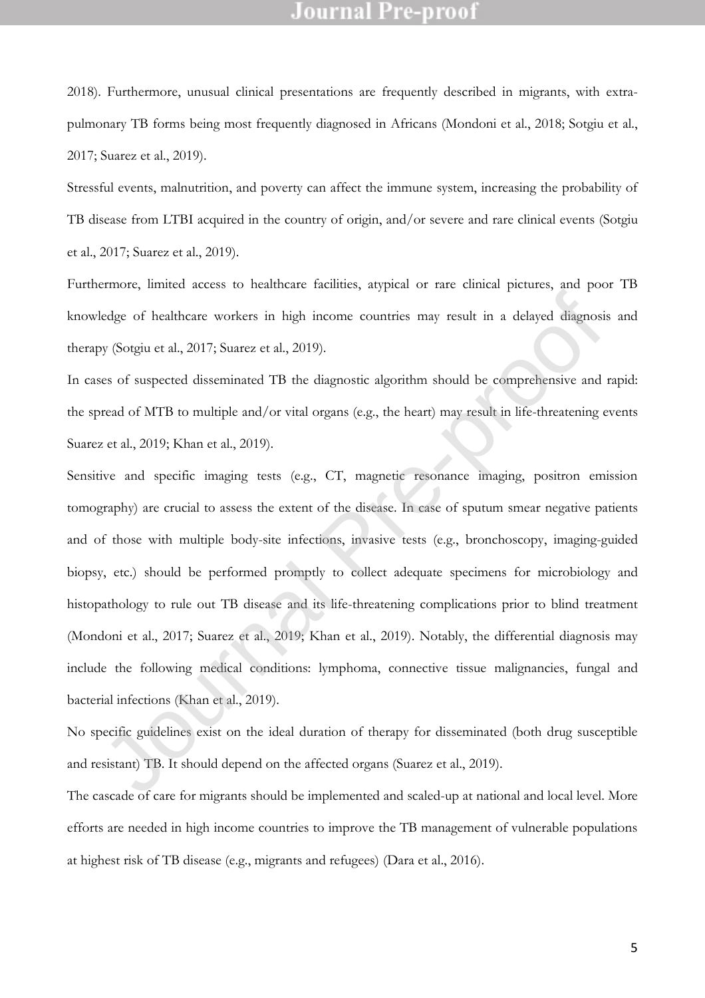2018). Furthermore, unusual clinical presentations are frequently described in migrants, with extrapulmonary TB forms being most frequently diagnosed in Africans (Mondoni et al., 2018; Sotgiu et al., 2017; Suarez et al., 2019).

Stressful events, malnutrition, and poverty can affect the immune system, increasing the probability of TB disease from LTBI acquired in the country of origin, and/or severe and rare clinical events (Sotgiu et al., 2017; Suarez et al., 2019).

Furthermore, limited access to healthcare facilities, atypical or rare clinical pictures, and poor TB knowledge of healthcare workers in high income countries may result in a delayed diagnosis and therapy (Sotgiu et al., 2017; Suarez et al., 2019).

In cases of suspected disseminated TB the diagnostic algorithm should be comprehensive and rapid: the spread of MTB to multiple and/or vital organs (e.g., the heart) may result in life-threatening events Suarez et al., 2019; Khan et al., 2019).

Sensitive and specific imaging tests (e.g., CT, magnetic resonance imaging, positron emission tomography) are crucial to assess the extent of the disease. In case of sputum smear negative patients and of those with multiple body-site infections, invasive tests (e.g., bronchoscopy, imaging-guided biopsy, etc.) should be performed promptly to collect adequate specimens for microbiology and histopathology to rule out TB disease and its life-threatening complications prior to blind treatment (Mondoni et al., 2017; Suarez et al., 2019; Khan et al., 2019). Notably, the differential diagnosis may include the following medical conditions: lymphoma, connective tissue malignancies, fungal and bacterial infections (Khan et al., 2019). ledge of healthcare workers in high income countries may result in a delayed diagnosis y (Sotgiu et al., 2017; Suarez et al., 2019).<br>Ses of suspected disseminated TB the diagnostic algorithm should be comprehensive and<br>rea

No specific guidelines exist on the ideal duration of therapy for disseminated (both drug susceptible and resistant) TB. It should depend on the affected organs (Suarez et al., 2019).

The cascade of care for migrants should be implemented and scaled-up at national and local level. More efforts are needed in high income countries to improve the TB management of vulnerable populations at highest risk of TB disease (e.g., migrants and refugees) (Dara et al., 2016).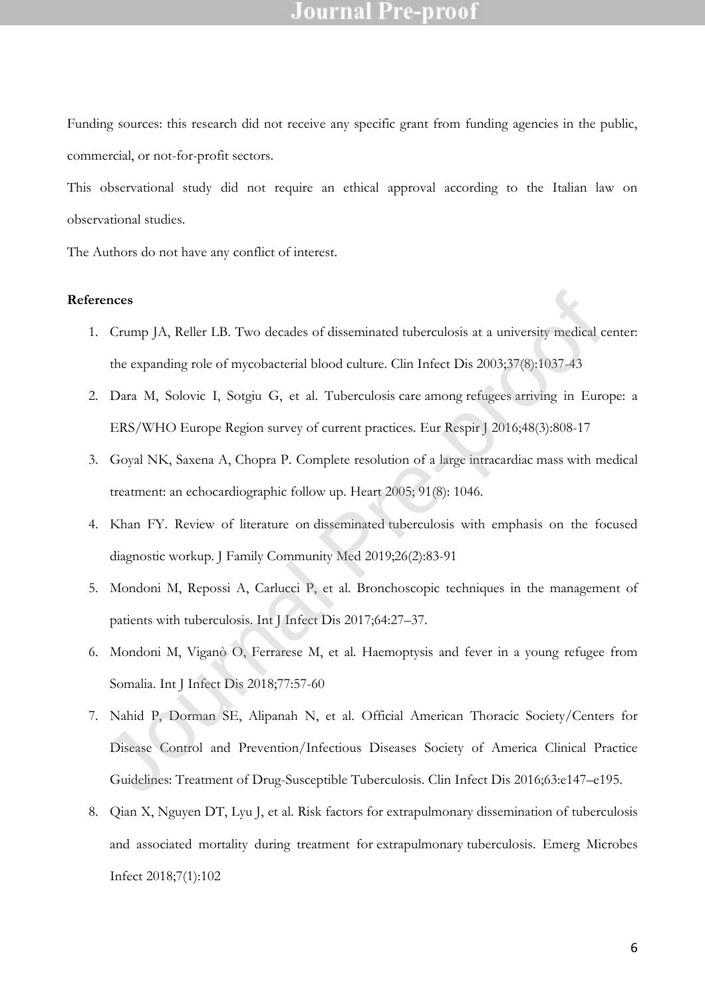Funding sources: this research did not receive any specific grant from funding agencies in the public, commercial, or not-for-profit sectors.

This observational study did not require an ethical approval according to the Italian law on observational studies.

The Authors do not have any conflict of interest.

#### **References**

- 1. Crump JA, Reller LB. Two decades of disseminated tuberculosis at a university medical center: the expanding role of mycobacterial blood culture. Clin Infect Dis 2003;37(8):1037-43
- 2. Dara M, Solovic I, Sotgiu G, et al. Tuberculosis care among refugees arriving in Europe: a ERS/WHO Europe Region survey of current practices. Eur Respir J 2016;48(3):808-17
- 3. Goyal NK, Saxena A, Chopra P. Complete resolution of a large intracardiac mass with medical treatment: an echocardiographic follow up. Heart 2005; 91(8): 1046.
- 4. Khan FY. Review of literature on disseminated tuberculosis with emphasis on the focused diagnostic workup. J Family Community Med 2019;26(2):83-91
- 5. Mondoni M, Repossi A, Carlucci P, et al. Bronchoscopic techniques in the management of patients with tuberculosis. Int J Infect Dis 2017;64:27–37.
- 6. Mondoni M, Viganò O, Ferrarese M, et al. Haemoptysis and fever in a young refugee from Somalia. Int J Infect Dis 2018;77:57-60
- 7. Nahid P, Dorman SE, Alipanah N, et al. Official American Thoracic Society/Centers for Disease Control and Prevention/Infectious Diseases Society of America Clinical Practice Guidelines: Treatment of Drug-Susceptible Tuberculosis. Clin Infect Dis 2016;63:e147–e195. cnecs<br>
Crump JA, Reller LB. Tw[o](https://www.ncbi.nlm.nih.gov/pubmed/30315989) decades of disseminated tuberculosis at a university medical<br>
che expanding [ro](https://www.ncbi.nlm.nih.gov/pubmed/27492827)le [of](https://www.ncbi.nlm.nih.gov/pubmed/14523767) mycobacterial blood culture. Clin Infeet Dis 2003;37(8):1037.43<br>
Dara M, Solovie I, Sotgiu G, et al. Tuber
- 8. Qian X, Nguyen DT, Lyu J, et al. Risk factors for [extrapulmonary](https://www.ncbi.nlm.nih.gov/pubmed/29872046) dissemination of tuberculosis [and associated mortality during treatment for](https://www.ncbi.nlm.nih.gov/pubmed/29872046) extrapulmonary tuberculosis. Emerg Microbes Infect 2018;7(1):102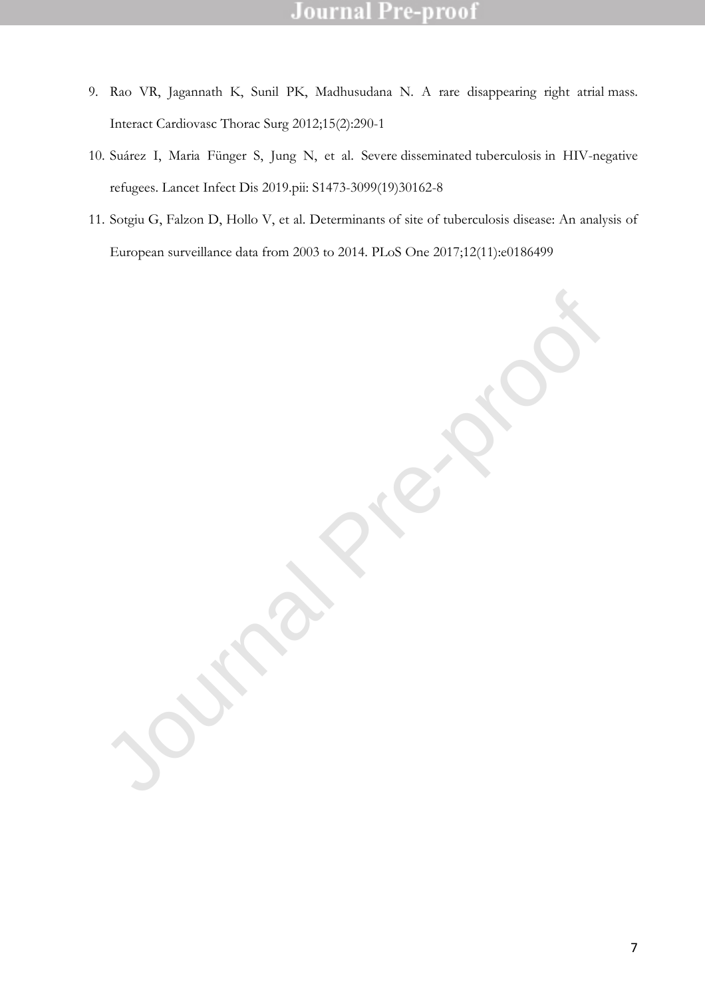- 9. Rao VR, Jagannath K, Sunil PK, Madhusudana N. [A rare disappearing right atrial](https://www.ncbi.nlm.nih.gov/pubmed/22535544) mass. Interact Cardiovasc Thorac Surg 2012;15(2):290-1
- 10. Suárez I, Maria Fünger S, Jung N, et al. Severe disseminated tuberculosis [in HIV-negative](https://www.ncbi.nlm.nih.gov/pubmed/31182290)  [refugees.](https://www.ncbi.nlm.nih.gov/pubmed/31182290) Lancet Infect Dis 2019.pii: S1473-3099(19)30162-8
- 11. Sotgiu G, Falzon D, Hollo V, et al. Determinants [of site of tuberculosis disease: An analysis of](https://www.ncbi.nlm.nih.gov/pubmed/29155819)  [European surveillance data from 2003 to 2014.](https://www.ncbi.nlm.nih.gov/pubmed/29155819) PLoS One 2017;12(11):e0186499

Journal Pre-proof